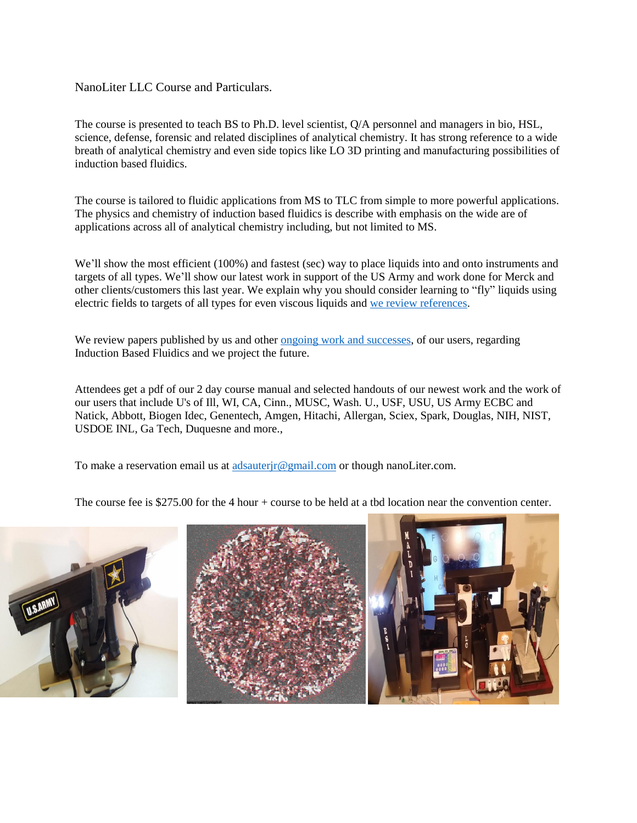## NanoLiter LLC Course and Particulars.

The course is presented to teach BS to Ph.D. level scientist, Q/A personnel and managers in bio, HSL, science, defense, forensic and related disciplines of analytical chemistry. It has strong reference to a wide breath of analytical chemistry and even side topics like LO 3D printing and manufacturing possibilities of induction based fluidics.

The course is tailored to fluidic applications from MS to TLC from simple to more powerful applications. The physics and chemistry of induction based fluidics is describe with emphasis on the wide are of applications across all of analytical chemistry including, but not limited to MS.

We'll show the most efficient (100%) and fastest (sec) way to place liquids into and onto instruments and targets of all types. We'll show our latest work in support of the US Army and work done for Merck and other clients/customers this last year. We explain why you should consider learning to "fly" liquids using electric fields to targets of all types for even viscous liquids and [we review references.](http://nanoliter.com/references2014.pdf)

We review papers published by us and other [ongoing work and successes,](http://www.nanoliter.com/nanoliterhasdone121213ver3.pdf) of our users, regarding Induction Based Fluidics and we project the future.

Attendees get a pdf of our 2 day course manual and selected handouts of our newest work and the work of our users that include U's of Ill, WI, CA, Cinn., MUSC, Wash. U., USF, USU, US Army ECBC and Natick, Abbott, Biogen Idec, Genentech, Amgen, Hitachi, Allergan, Sciex, Spark, Douglas, NIH, NIST, USDOE INL, Ga Tech, Duquesne and more.,

To make a reservation email us at adsauterir @gmail.com or though nanoLiter.com.

The course fee is \$275.00 for the 4 hour + course to be held at a tbd location near the convention center.

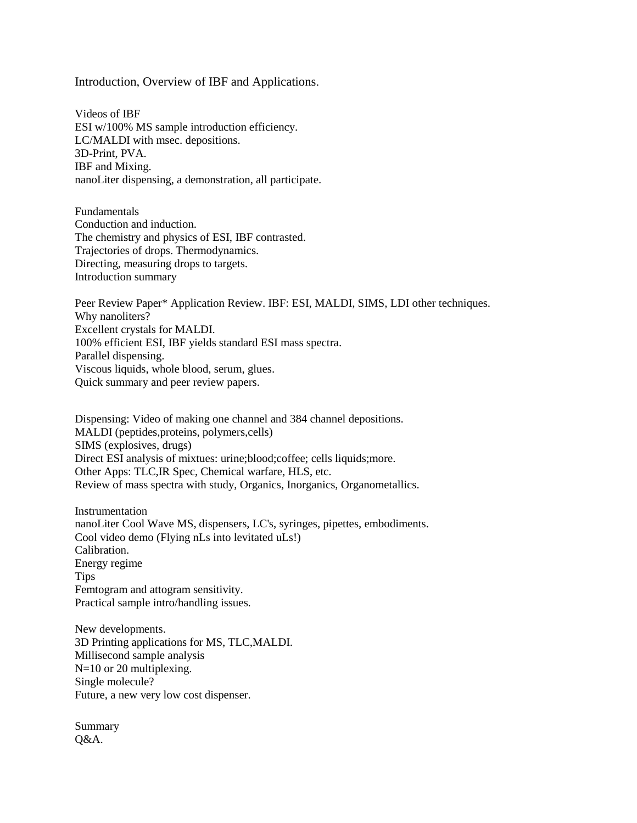Introduction, Overview of IBF and Applications.

Videos of IBF ESI w/100% MS sample introduction efficiency. LC/MALDI with msec. depositions. 3D-Print, PVA. IBF and Mixing. nanoLiter dispensing, a demonstration, all participate.

Fundamentals Conduction and induction. The chemistry and physics of ESI, IBF contrasted. Trajectories of drops. Thermodynamics. Directing, measuring drops to targets. Introduction summary

Peer Review Paper\* Application Review. IBF: ESI, MALDI, SIMS, LDI other techniques. Why nanoliters? Excellent crystals for MALDI. 100% efficient ESI, IBF yields standard ESI mass spectra. Parallel dispensing. Viscous liquids, whole blood, serum, glues. Quick summary and peer review papers.

Dispensing: Video of making one channel and 384 channel depositions. MALDI (peptides,proteins, polymers,cells) SIMS (explosives, drugs) Direct ESI analysis of mixtues: urine;blood;coffee; cells liquids;more. Other Apps: TLC,IR Spec, Chemical warfare, HLS, etc. Review of mass spectra with study, Organics, Inorganics, Organometallics.

**Instrumentation** nanoLiter Cool Wave MS, dispensers, LC's, syringes, pipettes, embodiments. Cool video demo (Flying nLs into levitated uLs!) Calibration. Energy regime Tips Femtogram and attogram sensitivity. Practical sample intro/handling issues.

New developments. 3D Printing applications for MS, TLC,MALDI. Millisecond sample analysis N=10 or 20 multiplexing. Single molecule? Future, a new very low cost dispenser.

Summary Q&A.